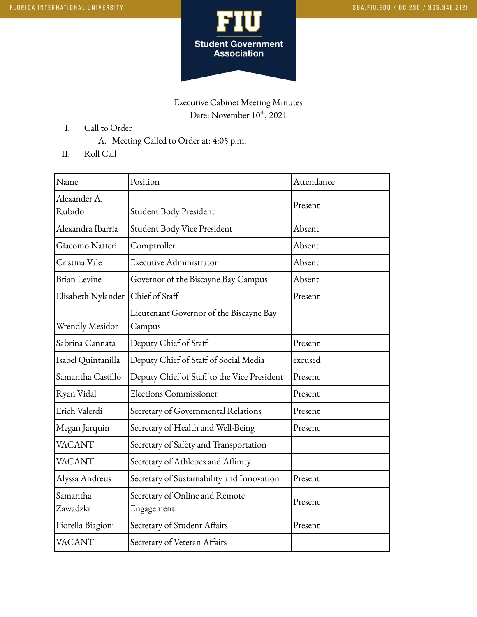

Executive Cabinet Meeting Minutes Date: November  $10^{\text{th}}$ , 2021

- I. Call to Order
	- A. Meeting Called to Order at: 4:05 p.m.
- II. Roll Call

| Name                   | Position                                          | Attendance |
|------------------------|---------------------------------------------------|------------|
| Alexander A.<br>Rubido | Student Body President                            | Present    |
| Alexandra Ibarria      | Student Body Vice President                       | Absent     |
| Giacomo Natteri        | Comptroller                                       | Absent     |
| Cristina Vale          | <b>Executive Administrator</b>                    | Absent     |
| <b>Brian Levine</b>    | Governor of the Biscayne Bay Campus               | Absent     |
| Elisabeth Nylander     | Chief of Staff                                    | Present    |
| <b>Wrendly Mesidor</b> | Lieutenant Governor of the Biscayne Bay<br>Campus |            |
| Sabrina Cannata        | Deputy Chief of Staff                             | Present    |
| Isabel Quintanilla     | Deputy Chief of Staff of Social Media             | excused    |
| Samantha Castillo      | Deputy Chief of Staff to the Vice President       | Present    |
| Ryan Vidal             | <b>Elections Commissioner</b>                     | Present    |
| Erich Valerdi          | Secretary of Governmental Relations               | Present    |
| Megan Jarquin          | Secretary of Health and Well-Being                | Present    |
| <b>VACANT</b>          | Secretary of Safety and Transportation            |            |
| <b>VACANT</b>          | Secretary of Athletics and Affinity               |            |
| Alyssa Andreus         | Secretary of Sustainability and Innovation        | Present    |
| Samantha<br>Zawadzki   | Secretary of Online and Remote<br>Engagement      | Present    |
| Fiorella Biagioni      | Secretary of Student Affairs                      | Present    |
| <b>VACANT</b>          | Secretary of Veteran Affairs                      |            |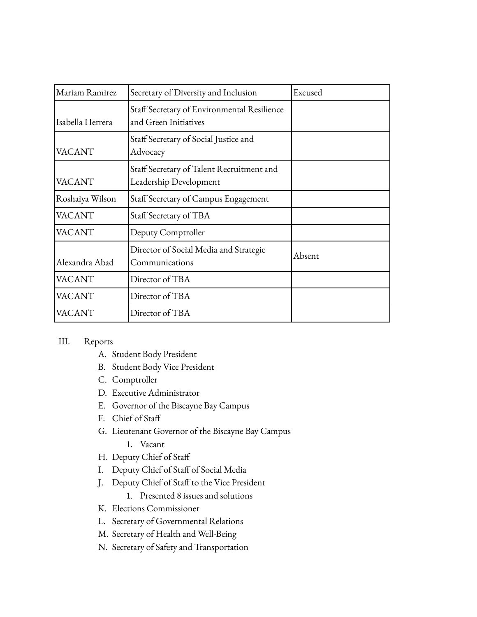| Mariam Ramirez   | Secretary of Diversity and Inclusion                                 | Excused |
|------------------|----------------------------------------------------------------------|---------|
| Isabella Herrera | Staff Secretary of Environmental Resilience<br>and Green Initiatives |         |
| <b>VACANT</b>    | Staff Secretary of Social Justice and<br>Advocacy                    |         |
| <b>VACANT</b>    | Staff Secretary of Talent Recruitment and<br>Leadership Development  |         |
| Roshaiya Wilson  | Staff Secretary of Campus Engagement                                 |         |
| <b>VACANT</b>    | Staff Secretary of TBA                                               |         |
| <b>VACANT</b>    | Deputy Comptroller                                                   |         |
| Alexandra Abad   | Director of Social Media and Strategic<br>Communications             | Absent  |
| <b>VACANT</b>    | Director of TBA                                                      |         |
| <b>VACANT</b>    | Director of TBA                                                      |         |
| VACANT           | Director of TBA                                                      |         |

## III. Reports

- A. Student Body President
- B. Student Body Vice President
- C. Comptroller
- D. Executive Administrator
- E. Governor of the Biscayne Bay Campus
- F. Chief of Staff
- G. Lieutenant Governor of the Biscayne Bay Campus
	- 1. Vacant
- H. Deputy Chief of Staff
- I. Deputy Chief of Staff of Social Media
- J. Deputy Chief of Staff to the Vice President
	- 1. Presented 8 issues and solutions
- K. Elections Commissioner
- L. Secretary of Governmental Relations
- M. Secretary of Health and Well-Being
- N. Secretary of Safety and Transportation